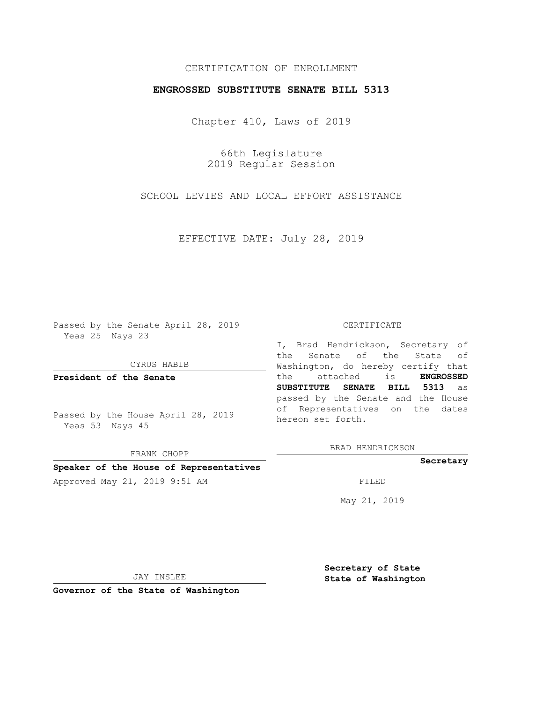## CERTIFICATION OF ENROLLMENT

### **ENGROSSED SUBSTITUTE SENATE BILL 5313**

Chapter 410, Laws of 2019

66th Legislature 2019 Regular Session

SCHOOL LEVIES AND LOCAL EFFORT ASSISTANCE

EFFECTIVE DATE: July 28, 2019

Passed by the Senate April 28, 2019 Yeas 25 Nays 23

CYRUS HABIB

**President of the Senate**

Passed by the House April 28, 2019 Yeas 53 Nays 45

FRANK CHOPP

#### **Speaker of the House of Representatives**

Approved May 21, 2019 9:51 AM FILED

#### CERTIFICATE

I, Brad Hendrickson, Secretary of the Senate of the State of Washington, do hereby certify that the attached is **ENGROSSED SUBSTITUTE SENATE BILL 5313** as passed by the Senate and the House of Representatives on the dates hereon set forth.

BRAD HENDRICKSON

#### **Secretary**

May 21, 2019

JAY INSLEE

**Governor of the State of Washington**

**Secretary of State State of Washington**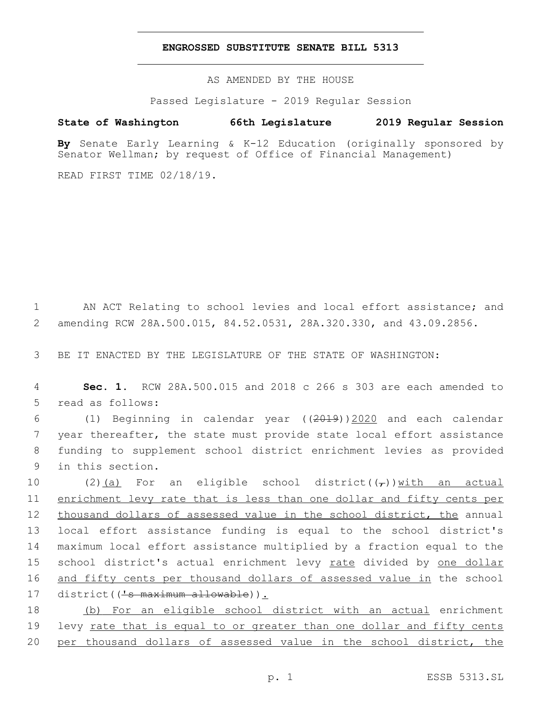#### **ENGROSSED SUBSTITUTE SENATE BILL 5313**

AS AMENDED BY THE HOUSE

Passed Legislature - 2019 Regular Session

# **State of Washington 66th Legislature 2019 Regular Session**

**By** Senate Early Learning & K-12 Education (originally sponsored by Senator Wellman; by request of Office of Financial Management)

READ FIRST TIME 02/18/19.

1 AN ACT Relating to school levies and local effort assistance; and 2 amending RCW 28A.500.015, 84.52.0531, 28A.320.330, and 43.09.2856.

3 BE IT ENACTED BY THE LEGISLATURE OF THE STATE OF WASHINGTON:

4 **Sec. 1.** RCW 28A.500.015 and 2018 c 266 s 303 are each amended to 5 read as follows:

 (1) Beginning in calendar year ((2019))2020 and each calendar year thereafter, the state must provide state local effort assistance funding to supplement school district enrichment levies as provided 9 in this section.

10 (2)(a) For an eligible school district( $(\tau)$ ) with an actual enrichment levy rate that is less than one dollar and fifty cents per thousand dollars of assessed value in the school district, the annual local effort assistance funding is equal to the school district's maximum local effort assistance multiplied by a fraction equal to the 15 school district's actual enrichment levy rate divided by one dollar and fifty cents per thousand dollars of assessed value in the school 17 district(('s maximum allowable)).

18 (b) For an eligible school district with an actual enrichment 19 levy rate that is equal to or greater than one dollar and fifty cents 20 per thousand dollars of assessed value in the school district, the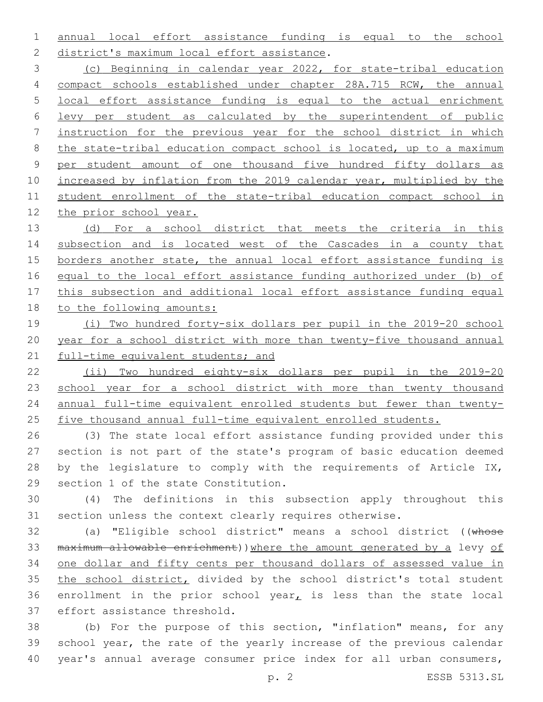annual local effort assistance funding is equal to the school 2 district's maximum local effort assistance.

 (c) Beginning in calendar year 2022, for state-tribal education compact schools established under chapter 28A.715 RCW, the annual local effort assistance funding is equal to the actual enrichment levy per student as calculated by the superintendent of public instruction for the previous year for the school district in which the state-tribal education compact school is located, up to a maximum per student amount of one thousand five hundred fifty dollars as increased by inflation from the 2019 calendar year, multiplied by the student enrollment of the state-tribal education compact school in the prior school year.

13 (d) For a school district that meets the criteria in this subsection and is located west of the Cascades in a county that borders another state, the annual local effort assistance funding is 16 equal to the local effort assistance funding authorized under (b) of this subsection and additional local effort assistance funding equal to the following amounts:

# (i) Two hundred forty-six dollars per pupil in the 2019-20 school year for a school district with more than twenty-five thousand annual 21 full-time equivalent students; and

 (ii) Two hundred eighty-six dollars per pupil in the 2019-20 23 school year for a school district with more than twenty thousand annual full-time equivalent enrolled students but fewer than twenty-five thousand annual full-time equivalent enrolled students.

 (3) The state local effort assistance funding provided under this section is not part of the state's program of basic education deemed 28 by the legislature to comply with the requirements of Article IX, 29 section 1 of the state Constitution.

 (4) The definitions in this subsection apply throughout this section unless the context clearly requires otherwise.

 (a) "Eligible school district" means a school district ((whose 33 maximum allowable enrichment)) where the amount generated by a levy of one dollar and fifty cents per thousand dollars of assessed value in 35 the school district, divided by the school district's total student 36 enrollment in the prior school year<sub> $L$ </sub> is less than the state local 37 effort assistance threshold.

 (b) For the purpose of this section, "inflation" means, for any school year, the rate of the yearly increase of the previous calendar year's annual average consumer price index for all urban consumers,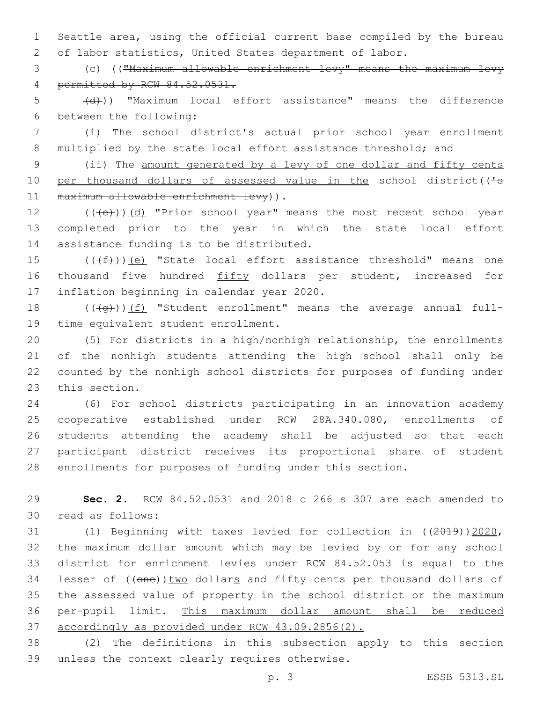1 Seattle area, using the official current base compiled by the bureau 2 of labor statistics, United States department of labor.

3 (c) (("Maximum allowable enrichment levy" means the maximum levy 4 permitted by RCW 84.52.0531.

5 (d)) "Maximum local effort assistance" means the difference 6 between the following:

7 (i) The school district's actual prior school year enrollment 8 multiplied by the state local effort assistance threshold; and

9 (ii) The amount generated by a levy of one dollar and fifty cents 10 per thousand dollars of assessed value in the school district(('-s 11 maximum allowable enrichment levy)).

12 (((e)))(d) "Prior school year" means the most recent school year 13 completed prior to the year in which the state local effort 14 assistance funding is to be distributed.

15  $((\text{#}))$  (e) "State local effort assistance threshold" means one 16 thousand five hundred fifty dollars per student, increased for 17 inflation beginning in calendar year 2020.

18  $((+q))$  (f) "Student enrollment" means the average annual full-19 time equivalent student enrollment.

 (5) For districts in a high/nonhigh relationship, the enrollments of the nonhigh students attending the high school shall only be counted by the nonhigh school districts for purposes of funding under 23 this section.

 (6) For school districts participating in an innovation academy cooperative established under RCW 28A.340.080, enrollments of students attending the academy shall be adjusted so that each participant district receives its proportional share of student enrollments for purposes of funding under this section.

29 **Sec. 2.** RCW 84.52.0531 and 2018 c 266 s 307 are each amended to 30 read as follows:

 (1) Beginning with taxes levied for collection in ((2019))2020, the maximum dollar amount which may be levied by or for any school district for enrichment levies under RCW 84.52.053 is equal to the 34 lesser of ((one)) two dollars and fifty cents per thousand dollars of the assessed value of property in the school district or the maximum per-pupil limit. This maximum dollar amount shall be reduced accordingly as provided under RCW 43.09.2856(2).

38 (2) The definitions in this subsection apply to this section 39 unless the context clearly requires otherwise.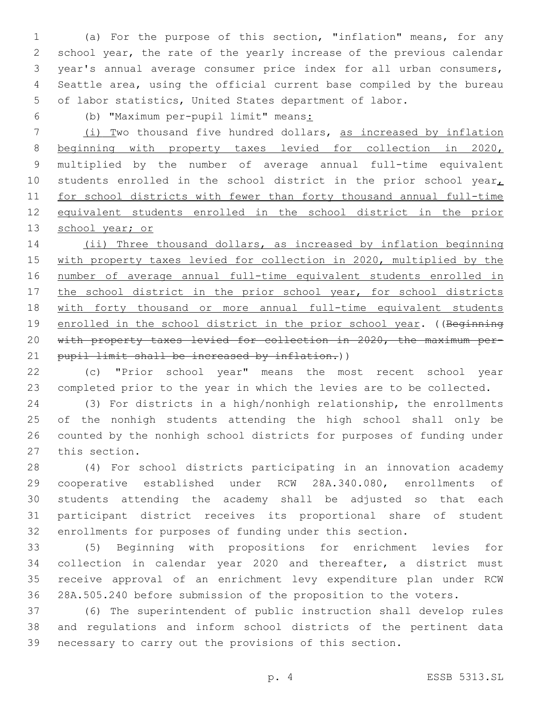(a) For the purpose of this section, "inflation" means, for any school year, the rate of the yearly increase of the previous calendar year's annual average consumer price index for all urban consumers, Seattle area, using the official current base compiled by the bureau of labor statistics, United States department of labor.

(b) "Maximum per-pupil limit" means:

 (i) Two thousand five hundred dollars, as increased by inflation beginning with property taxes levied for collection in 2020, multiplied by the number of average annual full-time equivalent 10 students enrolled in the school district in the prior school year $<sub>L</sub>$ </sub> for school districts with fewer than forty thousand annual full-time equivalent students enrolled in the school district in the prior 13 school year; or

14 (ii) Three thousand dollars, as increased by inflation beginning with property taxes levied for collection in 2020, multiplied by the number of average annual full-time equivalent students enrolled in 17 the school district in the prior school year, for school districts with forty thousand or more annual full-time equivalent students 19 enrolled in the school district in the prior school year. ((Beginning with property taxes levied for collection in 2020, the maximum per-21 pupil limit shall be increased by inflation.))

 (c) "Prior school year" means the most recent school year completed prior to the year in which the levies are to be collected.

 (3) For districts in a high/nonhigh relationship, the enrollments of the nonhigh students attending the high school shall only be counted by the nonhigh school districts for purposes of funding under 27 this section.

 (4) For school districts participating in an innovation academy cooperative established under RCW 28A.340.080, enrollments of students attending the academy shall be adjusted so that each participant district receives its proportional share of student enrollments for purposes of funding under this section.

 (5) Beginning with propositions for enrichment levies for collection in calendar year 2020 and thereafter, a district must receive approval of an enrichment levy expenditure plan under RCW 28A.505.240 before submission of the proposition to the voters.

 (6) The superintendent of public instruction shall develop rules and regulations and inform school districts of the pertinent data necessary to carry out the provisions of this section.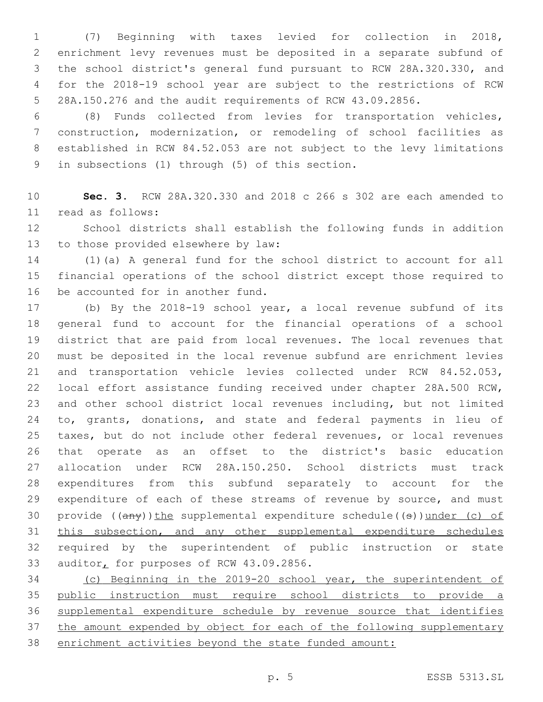(7) Beginning with taxes levied for collection in 2018, enrichment levy revenues must be deposited in a separate subfund of the school district's general fund pursuant to RCW 28A.320.330, and for the 2018-19 school year are subject to the restrictions of RCW 28A.150.276 and the audit requirements of RCW 43.09.2856.

 (8) Funds collected from levies for transportation vehicles, construction, modernization, or remodeling of school facilities as established in RCW 84.52.053 are not subject to the levy limitations 9 in subsections (1) through (5) of this section.

 **Sec. 3.** RCW 28A.320.330 and 2018 c 266 s 302 are each amended to read as follows:11

 School districts shall establish the following funds in addition 13 to those provided elsewhere by law:

 (1)(a) A general fund for the school district to account for all financial operations of the school district except those required to 16 be accounted for in another fund.

 (b) By the 2018-19 school year, a local revenue subfund of its general fund to account for the financial operations of a school district that are paid from local revenues. The local revenues that must be deposited in the local revenue subfund are enrichment levies and transportation vehicle levies collected under RCW 84.52.053, local effort assistance funding received under chapter 28A.500 RCW, and other school district local revenues including, but not limited 24 to, grants, donations, and state and federal payments in lieu of taxes, but do not include other federal revenues, or local revenues that operate as an offset to the district's basic education allocation under RCW 28A.150.250. School districts must track expenditures from this subfund separately to account for the 29 expenditure of each of these streams of revenue by source, and must 30 provide  $((any))$  the supplemental expenditure schedule((s)) under (c) of this subsection, and any other supplemental expenditure schedules required by the superintendent of public instruction or state 33 auditor, for purposes of RCW 43.09.2856.

 (c) Beginning in the 2019-20 school year, the superintendent of public instruction must require school districts to provide a supplemental expenditure schedule by revenue source that identifies 37 the amount expended by object for each of the following supplementary enrichment activities beyond the state funded amount: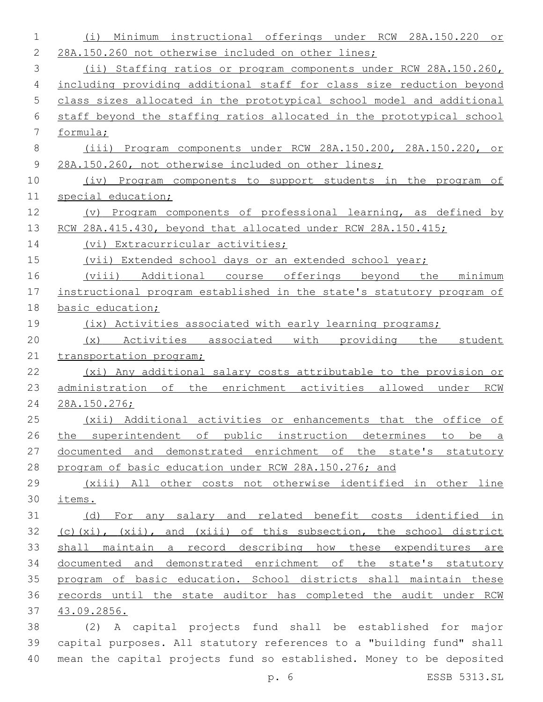| 1     | Minimum<br>instructional offerings under RCW<br>28A.150.220<br>(i)<br>or |
|-------|--------------------------------------------------------------------------|
| 2     | 28A.150.260 not otherwise included on other lines;                       |
| 3     | (ii) Staffing ratios or program components under RCW 28A.150.260,        |
| 4     | including providing additional staff for class size reduction beyond     |
| 5     | class sizes allocated in the prototypical school model and additional    |
| 6     | staff beyond the staffing ratios allocated in the prototypical school    |
| 7     | formula;                                                                 |
| $8\,$ | (iii) Program components under RCW 28A.150.200, 28A.150.220, or          |
| 9     | 28A.150.260, not otherwise included on other lines;                      |
| 10    | (iv) Program components to support students in the program of            |
| 11    | special education;                                                       |
| 12    | (v) Program components of professional learning, as defined by           |
| 13    | RCW 28A.415.430, beyond that allocated under RCW 28A.150.415;            |
| 14    | (vi) Extracurricular activities;                                         |
| 15    | (vii) Extended school days or an extended school year;                   |
| 16    | (viii) Additional course offerings beyond the<br>minimum                 |
| 17    | instructional program established in the state's statutory program of    |
| 18    | basic education;                                                         |
| 19    | (ix) Activities associated with early learning programs;                 |
| 20    | (x) Activities associated with providing the<br>student                  |
| 21    | transportation program;                                                  |
| 22    | (xi) Any additional salary costs attributable to the provision or        |
| 23    | administration of the enrichment activities allowed under RCW            |
| 24    | 28A.150.276;                                                             |
| 25    | (xii) Additional activities or enhancements that the office of           |
| 26    | the superintendent of public instruction determines<br>to be a           |
| 27    | documented and demonstrated enrichment of the state's statutory          |
| 28    | program of basic education under RCW 28A.150.276; and                    |
| 29    | (xiii) All other costs not otherwise identified in other line            |
| 30    | items.                                                                   |
| 31    | (d) For any salary and related benefit costs identified in               |
| 32    | (c)(xi), (xii), and (xiii) of this subsection, the school district       |
| 33    | shall maintain a record describing how these expenditures are            |
| 34    | documented and demonstrated enrichment of the state's statutory          |
| 35    | program of basic education. School districts shall maintain these        |
| 36    | records until the state auditor has completed the audit under RCW        |
| 37    | 43.09.2856.                                                              |
| 38    | (2) A capital projects fund shall be established for major               |
| 39    | capital purposes. All statutory references to a "building fund" shall    |
| 40    | mean the capital projects fund so established. Money to be deposited     |

p. 6 ESSB 5313.SL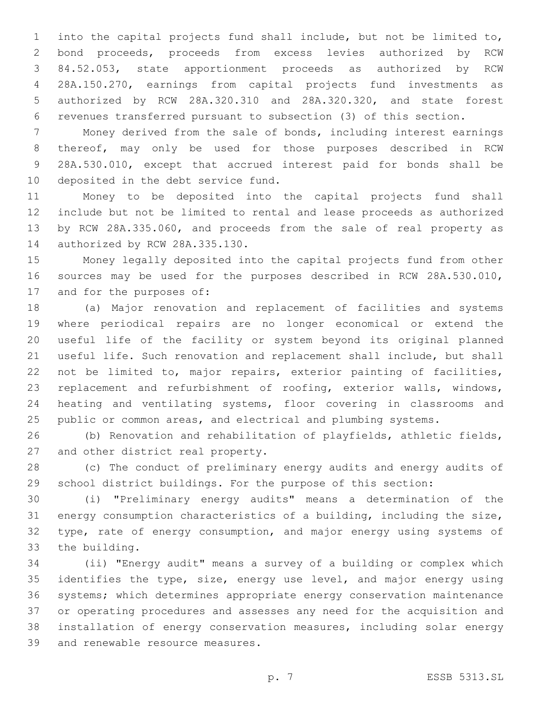into the capital projects fund shall include, but not be limited to, bond proceeds, proceeds from excess levies authorized by RCW 84.52.053, state apportionment proceeds as authorized by RCW 28A.150.270, earnings from capital projects fund investments as authorized by RCW 28A.320.310 and 28A.320.320, and state forest revenues transferred pursuant to subsection (3) of this section.

 Money derived from the sale of bonds, including interest earnings thereof, may only be used for those purposes described in RCW 28A.530.010, except that accrued interest paid for bonds shall be 10 deposited in the debt service fund.

 Money to be deposited into the capital projects fund shall include but not be limited to rental and lease proceeds as authorized by RCW 28A.335.060, and proceeds from the sale of real property as 14 authorized by RCW 28A.335.130.

 Money legally deposited into the capital projects fund from other sources may be used for the purposes described in RCW 28A.530.010, 17 and for the purposes of:

 (a) Major renovation and replacement of facilities and systems where periodical repairs are no longer economical or extend the useful life of the facility or system beyond its original planned useful life. Such renovation and replacement shall include, but shall not be limited to, major repairs, exterior painting of facilities, replacement and refurbishment of roofing, exterior walls, windows, heating and ventilating systems, floor covering in classrooms and 25 public or common areas, and electrical and plumbing systems.

 (b) Renovation and rehabilitation of playfields, athletic fields, 27 and other district real property.

 (c) The conduct of preliminary energy audits and energy audits of school district buildings. For the purpose of this section:

 (i) "Preliminary energy audits" means a determination of the energy consumption characteristics of a building, including the size, type, rate of energy consumption, and major energy using systems of 33 the building.

 (ii) "Energy audit" means a survey of a building or complex which identifies the type, size, energy use level, and major energy using systems; which determines appropriate energy conservation maintenance or operating procedures and assesses any need for the acquisition and installation of energy conservation measures, including solar energy 39 and renewable resource measures.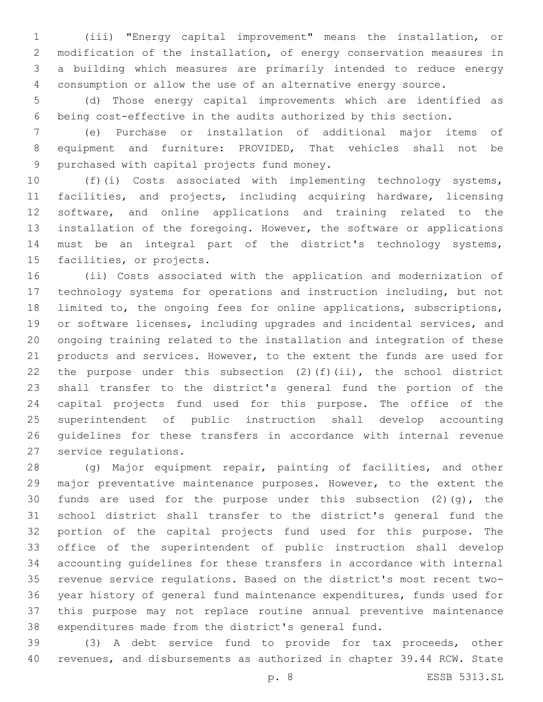(iii) "Energy capital improvement" means the installation, or modification of the installation, of energy conservation measures in a building which measures are primarily intended to reduce energy consumption or allow the use of an alternative energy source.

 (d) Those energy capital improvements which are identified as being cost-effective in the audits authorized by this section.

 (e) Purchase or installation of additional major items of equipment and furniture: PROVIDED, That vehicles shall not be 9 purchased with capital projects fund money.

 (f)(i) Costs associated with implementing technology systems, facilities, and projects, including acquiring hardware, licensing software, and online applications and training related to the installation of the foregoing. However, the software or applications must be an integral part of the district's technology systems, 15 facilities, or projects.

 (ii) Costs associated with the application and modernization of technology systems for operations and instruction including, but not limited to, the ongoing fees for online applications, subscriptions, or software licenses, including upgrades and incidental services, and ongoing training related to the installation and integration of these products and services. However, to the extent the funds are used for 22 the purpose under this subsection  $(2)$  (f)(ii), the school district shall transfer to the district's general fund the portion of the capital projects fund used for this purpose. The office of the superintendent of public instruction shall develop accounting guidelines for these transfers in accordance with internal revenue 27 service regulations.

 (g) Major equipment repair, painting of facilities, and other major preventative maintenance purposes. However, to the extent the 30 funds are used for the purpose under this subsection  $(2)$   $(q)$ , the school district shall transfer to the district's general fund the portion of the capital projects fund used for this purpose. The office of the superintendent of public instruction shall develop accounting guidelines for these transfers in accordance with internal revenue service regulations. Based on the district's most recent two- year history of general fund maintenance expenditures, funds used for this purpose may not replace routine annual preventive maintenance expenditures made from the district's general fund.

 (3) A debt service fund to provide for tax proceeds, other revenues, and disbursements as authorized in chapter 39.44 RCW. State

p. 8 ESSB 5313.SL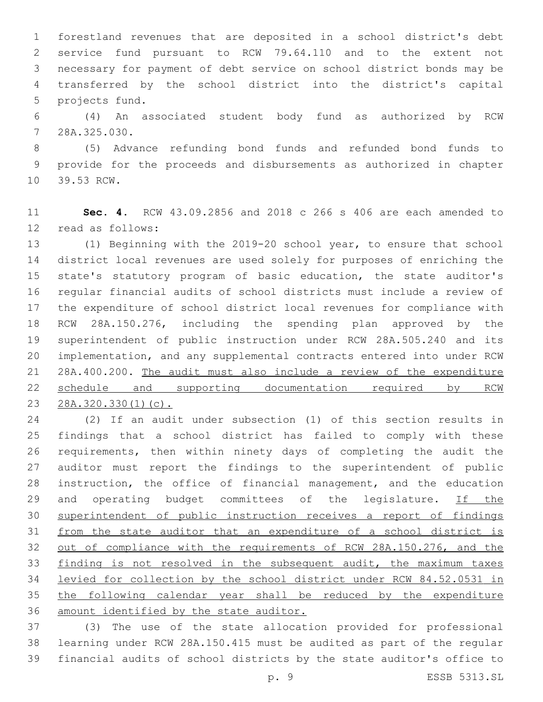forestland revenues that are deposited in a school district's debt service fund pursuant to RCW 79.64.110 and to the extent not necessary for payment of debt service on school district bonds may be transferred by the school district into the district's capital 5 projects fund.

 (4) An associated student body fund as authorized by RCW 28A.325.030.7

 (5) Advance refunding bond funds and refunded bond funds to provide for the proceeds and disbursements as authorized in chapter 10 39.53 RCW.

 **Sec. 4.** RCW 43.09.2856 and 2018 c 266 s 406 are each amended to 12 read as follows:

 (1) Beginning with the 2019-20 school year, to ensure that school district local revenues are used solely for purposes of enriching the state's statutory program of basic education, the state auditor's regular financial audits of school districts must include a review of the expenditure of school district local revenues for compliance with RCW 28A.150.276, including the spending plan approved by the superintendent of public instruction under RCW 28A.505.240 and its implementation, and any supplemental contracts entered into under RCW 28A.400.200. The audit must also include a review of the expenditure 22 schedule and supporting documentation required by RCW 28A.320.330(1)(c).

 (2) If an audit under subsection (1) of this section results in findings that a school district has failed to comply with these requirements, then within ninety days of completing the audit the auditor must report the findings to the superintendent of public instruction, the office of financial management, and the education 29 and operating budget committees of the legislature. If the superintendent of public instruction receives a report of findings from the state auditor that an expenditure of a school district is out of compliance with the requirements of RCW 28A.150.276, and the finding is not resolved in the subsequent audit, the maximum taxes levied for collection by the school district under RCW 84.52.0531 in the following calendar year shall be reduced by the expenditure amount identified by the state auditor.

 (3) The use of the state allocation provided for professional learning under RCW 28A.150.415 must be audited as part of the regular financial audits of school districts by the state auditor's office to